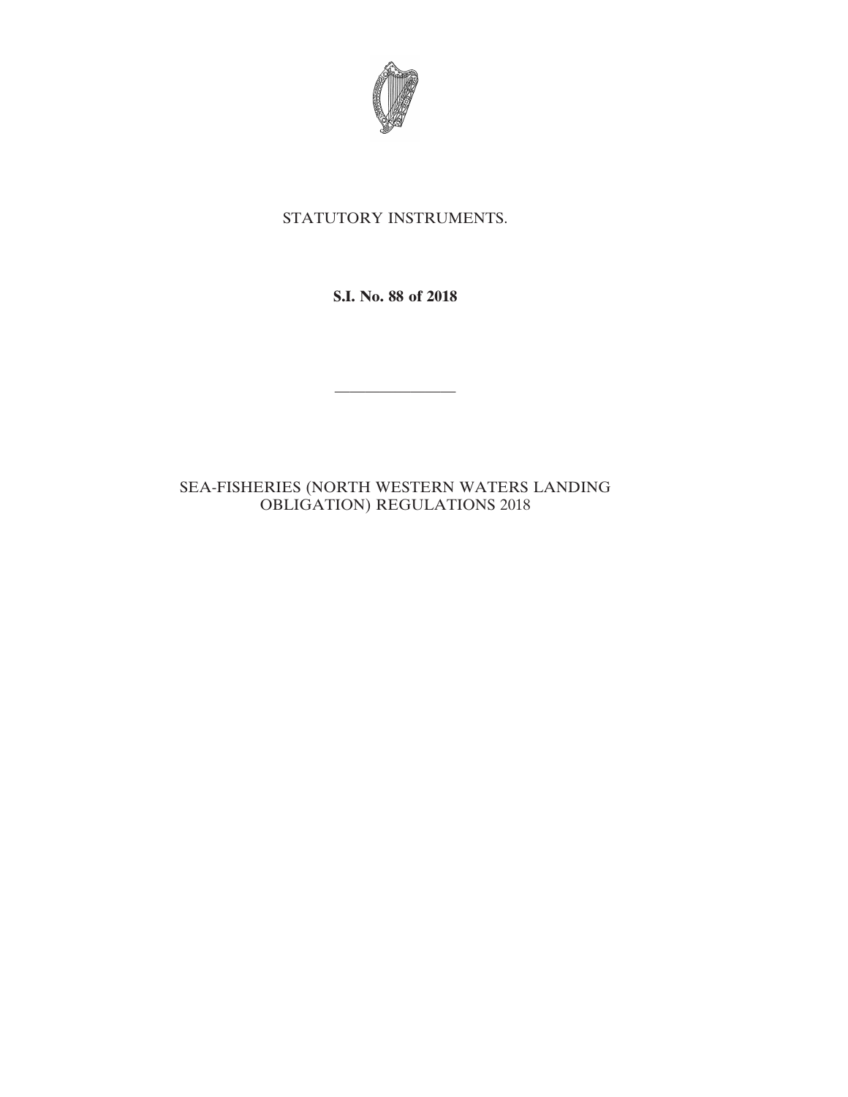

## STATUTORY INSTRUMENTS.

**S.I. No. 88 of 2018**

————————

## SEA-FISHERIES (NORTH WESTERN WATERS LANDING OBLIGATION) REGULATIONS 2018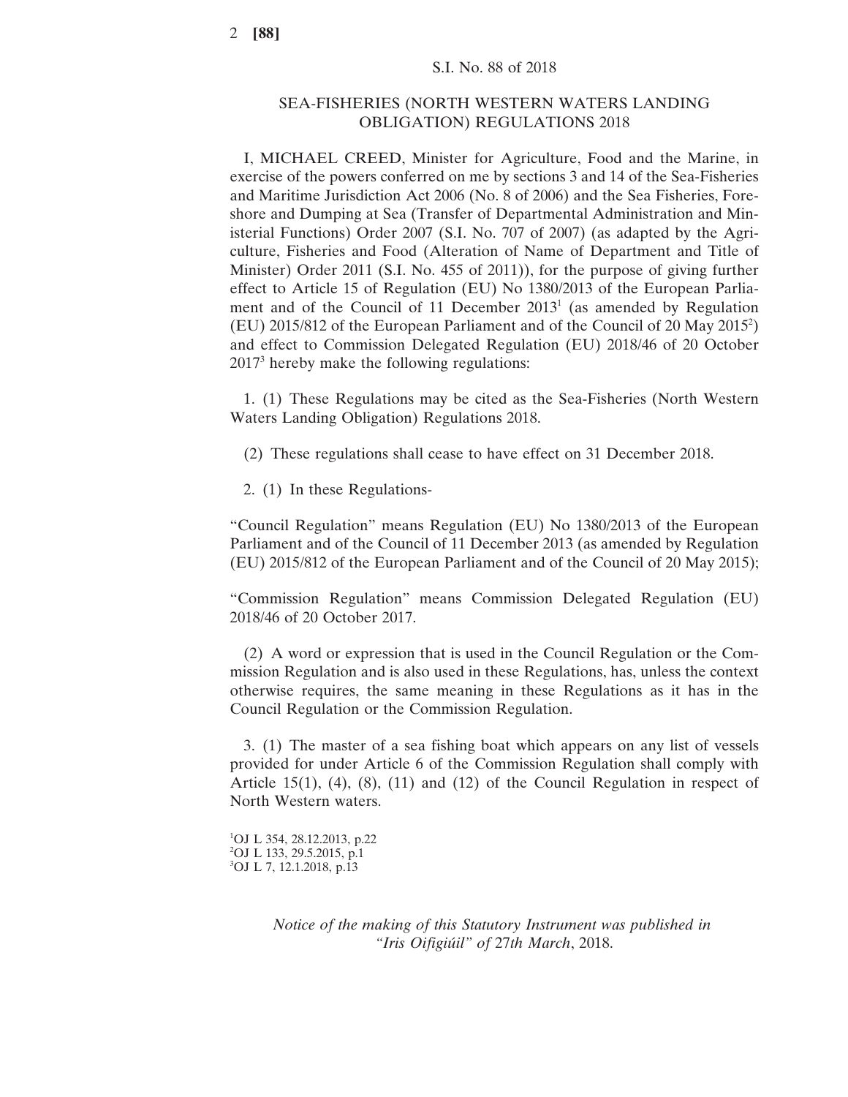## SEA-FISHERIES (NORTH WESTERN WATERS LANDING OBLIGATION) REGULATIONS 2018

I, MICHAEL CREED, Minister for Agriculture, Food and the Marine, in exercise of the powers conferred on me by sections 3 and 14 of the Sea-Fisheries and Maritime Jurisdiction Act 2006 (No. 8 of 2006) and the Sea Fisheries, Foreshore and Dumping at Sea (Transfer of Departmental Administration and Ministerial Functions) Order 2007 (S.I. No. 707 of 2007) (as adapted by the Agriculture, Fisheries and Food (Alteration of Name of Department and Title of Minister) Order 2011 (S.I. No. 455 of 2011)), for the purpose of giving further effect to Article 15 of Regulation (EU) No 1380/2013 of the European Parliament and of the Council of 11 December 20131 (as amended by Regulation (EU) 2015/812 of the European Parliament and of the Council of 20 May 20152 ) and effect to Commission Delegated Regulation (EU) 2018/46 of 20 October 20173 hereby make the following regulations:

1. (1) These Regulations may be cited as the Sea-Fisheries (North Western Waters Landing Obligation) Regulations 2018.

(2) These regulations shall cease to have effect on 31 December 2018.

2. (1) In these Regulations-

"Council Regulation" means Regulation (EU) No 1380/2013 of the European Parliament and of the Council of 11 December 2013 (as amended by Regulation (EU) 2015/812 of the European Parliament and of the Council of 20 May 2015);

"Commission Regulation" means Commission Delegated Regulation (EU) 2018/46 of 20 October 2017.

(2) A word or expression that is used in the Council Regulation or the Commission Regulation and is also used in these Regulations, has, unless the context otherwise requires, the same meaning in these Regulations as it has in the Council Regulation or the Commission Regulation.

3. (1) The master of a sea fishing boat which appears on any list of vessels provided for under Article 6 of the Commission Regulation shall comply with Article 15(1),  $(4)$ ,  $(8)$ ,  $(11)$  and  $(12)$  of the Council Regulation in respect of North Western waters.

1 OJ L 354, 28.12.2013, p.22 2 OJ L 133, 29.5.2015, p.1 3 OJ L 7, 12.1.2018, p.13

> *Notice of the making of this Statutory Instrument was published in "Iris Oifigiúil" of* 27*th March*, 2018.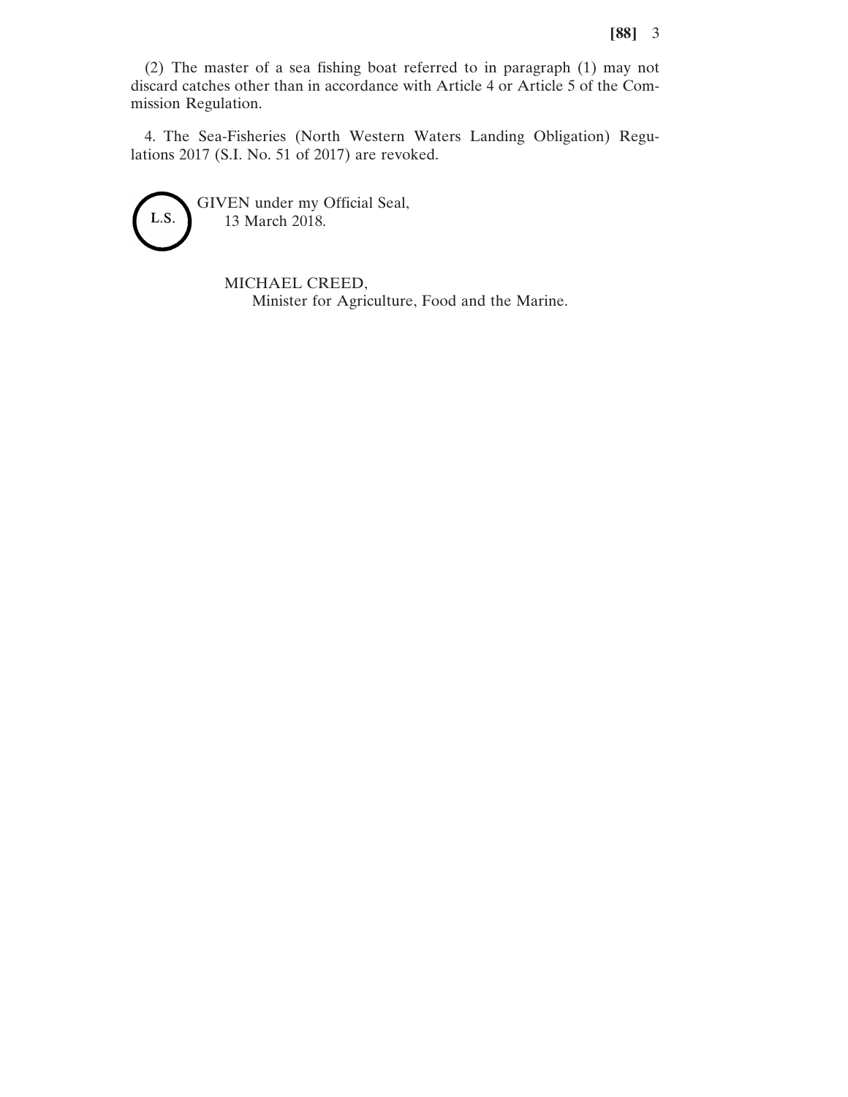(2) The master of a sea fishing boat referred to in paragraph (1) may not discard catches other than in accordance with Article 4 or Article 5 of the Commission Regulation.

4. The Sea-Fisheries (North Western Waters Landing Obligation) Regulations 2017 (S.I. No. 51 of 2017) are revoked.



GIVEN under my Official Seal, 13 March 2018.

> MICHAEL CREED, Minister for Agriculture, Food and the Marine.